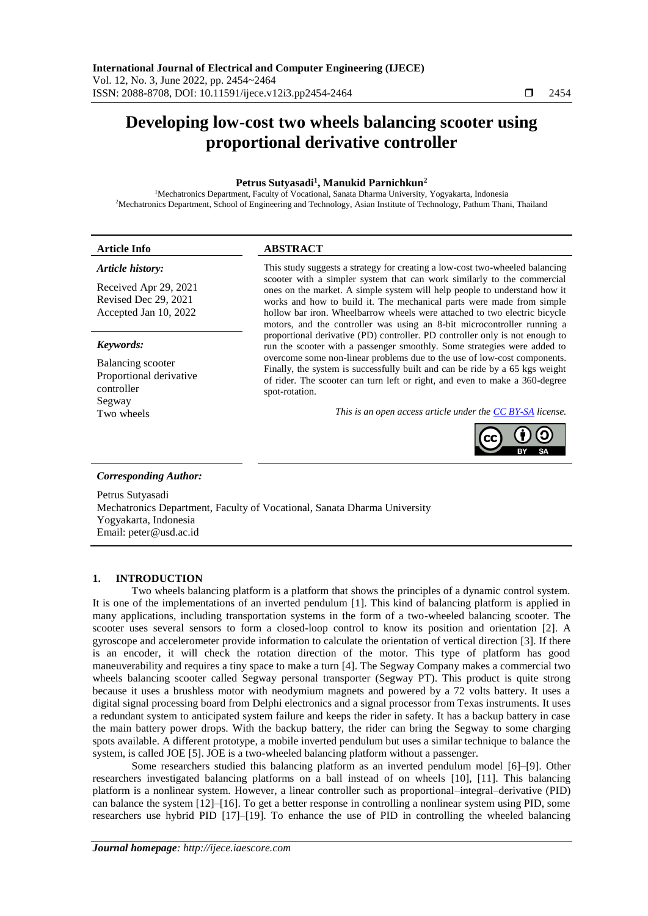# **Developing low-cost two wheels balancing scooter using proportional derivative controller**

# **Petrus Sutyasadi<sup>1</sup> , Manukid Parnichkun<sup>2</sup>**

<sup>1</sup>Mechatronics Department, Faculty of Vocational, Sanata Dharma University, Yogyakarta, Indonesia <sup>2</sup>Mechatronics Department, School of Engineering and Technology, Asian Institute of Technology, Pathum Thani, Thailand

| <b>Article Info</b>                                                                        | <b>ABSTRACT</b>                                                                                                                                                                                                                                                                                                                                                                                                                                                                                                                                                                                                                                                                                                                                                                                                                                                                                                                                                     |
|--------------------------------------------------------------------------------------------|---------------------------------------------------------------------------------------------------------------------------------------------------------------------------------------------------------------------------------------------------------------------------------------------------------------------------------------------------------------------------------------------------------------------------------------------------------------------------------------------------------------------------------------------------------------------------------------------------------------------------------------------------------------------------------------------------------------------------------------------------------------------------------------------------------------------------------------------------------------------------------------------------------------------------------------------------------------------|
| Article history:<br>Received Apr 29, 2021<br>Revised Dec 29, 2021<br>Accepted Jan 10, 2022 | This study suggests a strategy for creating a low-cost two-wheeled balancing<br>scooter with a simpler system that can work similarly to the commercial<br>ones on the market. A simple system will help people to understand how it<br>works and how to build it. The mechanical parts were made from simple<br>hollow bar iron. Wheelbarrow wheels were attached to two electric bicycle<br>motors, and the controller was using an 8-bit microcontroller running a<br>proportional derivative (PD) controller. PD controller only is not enough to<br>run the scooter with a passenger smoothly. Some strategies were added to<br>overcome some non-linear problems due to the use of low-cost components.<br>Finally, the system is successfully built and can be ride by a 65 kgs weight<br>of rider. The scooter can turn left or right, and even to make a 360-degree<br>spot-rotation.<br>This is an open access article under the <b>CC BY-SA</b> license. |
| Keywords:                                                                                  |                                                                                                                                                                                                                                                                                                                                                                                                                                                                                                                                                                                                                                                                                                                                                                                                                                                                                                                                                                     |
| <b>Balancing</b> scooter<br>Proportional derivative<br>controller                          |                                                                                                                                                                                                                                                                                                                                                                                                                                                                                                                                                                                                                                                                                                                                                                                                                                                                                                                                                                     |
| Segway<br>Two wheels                                                                       |                                                                                                                                                                                                                                                                                                                                                                                                                                                                                                                                                                                                                                                                                                                                                                                                                                                                                                                                                                     |
| <b>Corresponding Author:</b>                                                               |                                                                                                                                                                                                                                                                                                                                                                                                                                                                                                                                                                                                                                                                                                                                                                                                                                                                                                                                                                     |
| Petrus Sutyasadi<br>Yogyakarta, Indonesia                                                  | Mechatronics Department, Faculty of Vocational, Sanata Dharma University                                                                                                                                                                                                                                                                                                                                                                                                                                                                                                                                                                                                                                                                                                                                                                                                                                                                                            |

## **1. INTRODUCTION**

Email: peter@usd.ac.id

Two wheels balancing platform is a platform that shows the principles of a dynamic control system. It is one of the implementations of an inverted pendulum [1]. This kind of balancing platform is applied in many applications, including transportation systems in the form of a two-wheeled balancing scooter. The scooter uses several sensors to form a closed-loop control to know its position and orientation [2]. A gyroscope and accelerometer provide information to calculate the orientation of vertical direction [3]. If there is an encoder, it will check the rotation direction of the motor. This type of platform has good maneuverability and requires a tiny space to make a turn [4]. The Segway Company makes a commercial two wheels balancing scooter called Segway personal transporter (Segway PT). This product is quite strong because it uses a brushless motor with neodymium magnets and powered by a 72 volts battery. It uses a digital signal processing board from Delphi electronics and a signal processor from Texas instruments. It uses a redundant system to anticipated system failure and keeps the rider in safety. It has a backup battery in case the main battery power drops. With the backup battery, the rider can bring the Segway to some charging spots available. A different prototype, a mobile inverted pendulum but uses a similar technique to balance the system, is called JOE [5]. JOE is a two-wheeled balancing platform without a passenger.

Some researchers studied this balancing platform as an inverted pendulum model [6]–[9]. Other researchers investigated balancing platforms on a ball instead of on wheels [10], [11]. This balancing platform is a nonlinear system. However, a linear controller such as proportional–integral–derivative (PID) can balance the system [12]–[16]. To get a better response in controlling a nonlinear system using PID, some researchers use hybrid PID [17]–[19]. To enhance the use of PID in controlling the wheeled balancing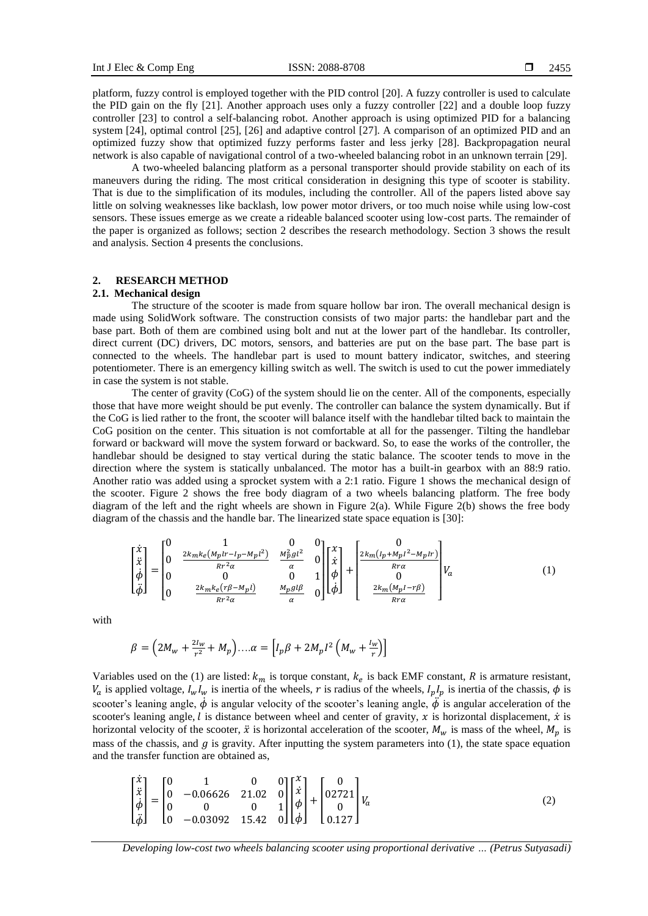platform, fuzzy control is employed together with the PID control [20]. A fuzzy controller is used to calculate the PID gain on the fly [21]. Another approach uses only a fuzzy controller [22] and a double loop fuzzy controller [23] to control a self-balancing robot. Another approach is using optimized PID for a balancing system [24], optimal control [25], [26] and adaptive control [27]. A comparison of an optimized PID and an optimized fuzzy show that optimized fuzzy performs faster and less jerky [28]. Backpropagation neural network is also capable of navigational control of a two-wheeled balancing robot in an unknown terrain [29].

A two-wheeled balancing platform as a personal transporter should provide stability on each of its maneuvers during the riding. The most critical consideration in designing this type of scooter is stability. That is due to the simplification of its modules, including the controller. All of the papers listed above say little on solving weaknesses like backlash, low power motor drivers, or too much noise while using low-cost sensors. These issues emerge as we create a rideable balanced scooter using low-cost parts. The remainder of the paper is organized as follows; section 2 describes the research methodology. Section 3 shows the result and analysis. Section 4 presents the conclusions.

# **2. RESEARCH METHOD**

#### **2.1. Mechanical design**

The structure of the scooter is made from square hollow bar iron. The overall mechanical design is made using SolidWork software. The construction consists of two major parts: the handlebar part and the base part. Both of them are combined using bolt and nut at the lower part of the handlebar. Its controller, direct current (DC) drivers, DC motors, sensors, and batteries are put on the base part. The base part is connected to the wheels. The handlebar part is used to mount battery indicator, switches, and steering potentiometer. There is an emergency killing switch as well. The switch is used to cut the power immediately in case the system is not stable.

The center of gravity (CoG) of the system should lie on the center. All of the components, especially those that have more weight should be put evenly. The controller can balance the system dynamically. But if the CoG is lied rather to the front, the scooter will balance itself with the handlebar tilted back to maintain the CoG position on the center. This situation is not comfortable at all for the passenger. Tilting the handlebar forward or backward will move the system forward or backward. So, to ease the works of the controller, the handlebar should be designed to stay vertical during the static balance. The scooter tends to move in the direction where the system is statically unbalanced. The motor has a built-in gearbox with an 88:9 ratio. Another ratio was added using a sprocket system with a 2:1 ratio. Figure 1 shows the mechanical design of the scooter. Figure 2 shows the free body diagram of a two wheels balancing platform. The free body diagram of the left and the right wheels are shown in Figure 2(a). While Figure 2(b) shows the free body diagram of the chassis and the handle bar. The linearized state space equation is [30]:

$$
\begin{bmatrix} \dot{x} \\ \dot{x} \\ \dot{\phi} \\ \ddot{\phi} \end{bmatrix} = \begin{bmatrix} 0 & 1 & 0 & 0 \\ 0 & \frac{2k_m k_e (M_p l r - I_p - M_p l^2)}{R r^2 \alpha} & \frac{M_p^2 g l^2}{\alpha} & 0 \\ 0 & 0 & 0 & 1 \\ 0 & \frac{2k_m k_e (r\beta - M_p l)}{R r^2 \alpha} & \frac{M_p g l \beta}{\alpha} & 0 \end{bmatrix} \begin{bmatrix} x \\ \dot{x} \\ \phi \\ \dot{\phi} \end{bmatrix} + \begin{bmatrix} 0 \\ \frac{2k_m (I_p + M_p l^2 - M_p l r)}{R r \alpha} \\ 0 \\ \frac{2k_m (M_p l - r\beta)}{R r \alpha} \end{bmatrix} V_a \tag{1}
$$

with

$$
\beta = \left(2M_w + \frac{2I_w}{r^2} + M_p\right) \dots \alpha = \left[I_p\beta + 2M_pI^2\left(M_w + \frac{I_w}{r}\right)\right]
$$

Variables used on the (1) are listed:  $k_m$  is torque constant,  $k_e$  is back EMF constant, R is armature resistant,  $V_a$  is applied voltage,  $I_wI_w$  is inertia of the wheels, r is radius of the wheels,  $I_pI_p$  is inertia of the chassis,  $\phi$  is scooter's leaning angle,  $\dot{\phi}$  is angular velocity of the scooter's leaning angle,  $\ddot{\phi}$  is angular acceleration of the scooter's leaning angle,  $l$  is distance between wheel and center of gravity,  $x$  is horizontal displacement,  $\dot{x}$  is horizontal velocity of the scooter,  $\ddot{x}$  is horizontal acceleration of the scooter,  $M_w$  is mass of the wheel,  $M_p$  is mass of the chassis, and  $g$  is gravity. After inputting the system parameters into (1), the state space equation and the transfer function are obtained as,

$$
\begin{bmatrix} \dot{x} \\ \ddot{x} \\ \dot{\phi} \\ \ddot{\phi} \end{bmatrix} = \begin{bmatrix} 0 & 1 & 0 & 0 \\ 0 & -0.06626 & 21.02 & 0 \\ 0 & 0 & 0 & 1 \\ 0 & -0.03092 & 15.42 & 0 \end{bmatrix} \begin{bmatrix} x \\ \dot{x} \\ \phi \\ \dot{\phi} \end{bmatrix} + \begin{bmatrix} 0 \\ 02721 \\ 0 \\ 0.127 \end{bmatrix} V_a \tag{2}
$$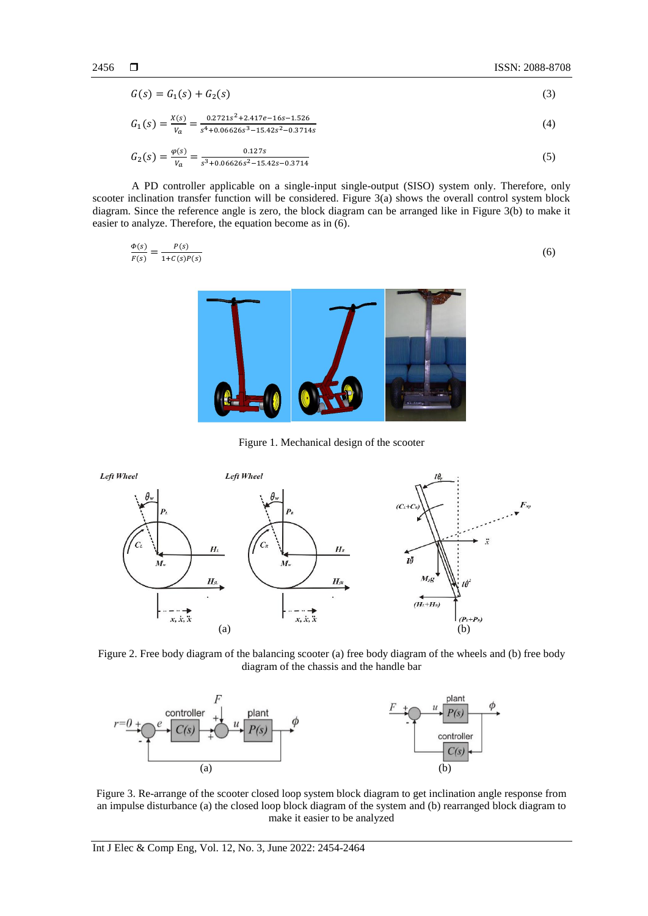$$
G(s) = G_1(s) + G_2(s)
$$
 (3)

$$
G_1(s) = \frac{x(s)}{v_a} = \frac{0.2721s^2 + 2.417e - 16s - 1.526}{s^4 + 0.06626s^3 - 15.42s^2 - 0.3714s}
$$
(4)

$$
G_2(s) = \frac{\varphi(s)}{v_a} = \frac{0.127s}{s^3 + 0.06626s^2 - 15.42s - 0.3714}
$$
\n<sup>(5)</sup>

A PD controller applicable on a single-input single-output (SISO) system only. Therefore, only scooter inclination transfer function will be considered. Figure 3(a) shows the overall control system block diagram. Since the reference angle is zero, the block diagram can be arranged like in Figure 3(b) to make it easier to analyze. Therefore, the equation become as in (6).

$$
\frac{\Phi(s)}{F(s)} = \frac{P(s)}{1 + C(s)P(s)}\tag{6}
$$



Figure 1. Mechanical design of the scooter



Figure 2. Free body diagram of the balancing scooter (a) free body diagram of the wheels and (b) free body diagram of the chassis and the handle bar



Figure 3. Re-arrange of the scooter closed loop system block diagram to get inclination angle response from an impulse disturbance (a) the closed loop block diagram of the system and (b) rearranged block diagram to make it easier to be analyzed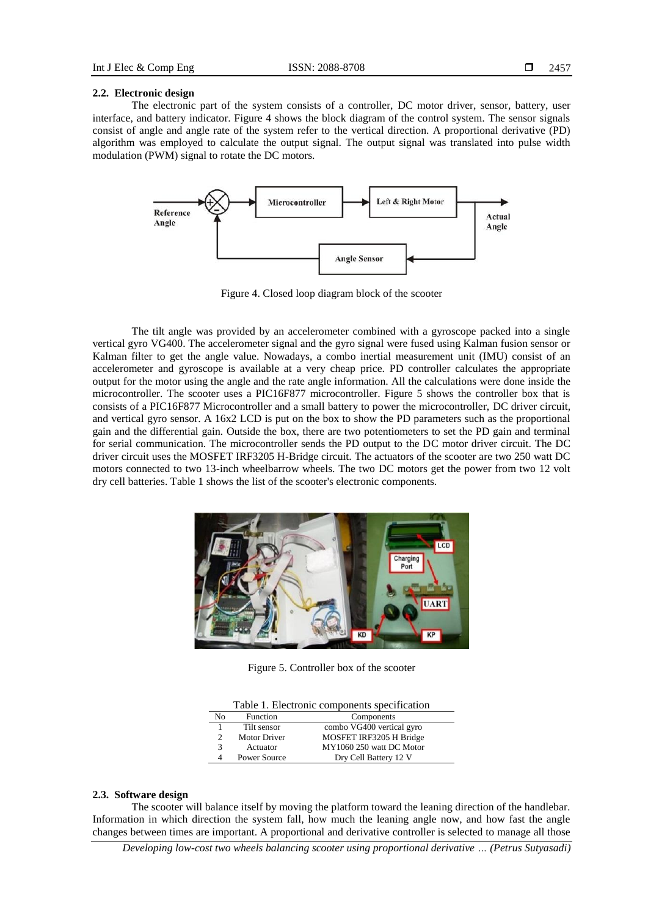## **2.2. Electronic design**

The electronic part of the system consists of a controller, DC motor driver, sensor, battery, user interface, and battery indicator. Figure 4 shows the block diagram of the control system. The sensor signals consist of angle and angle rate of the system refer to the vertical direction. A proportional derivative (PD) algorithm was employed to calculate the output signal. The output signal was translated into pulse width modulation (PWM) signal to rotate the DC motors.



Figure 4. Closed loop diagram block of the scooter

The tilt angle was provided by an accelerometer combined with a gyroscope packed into a single vertical gyro VG400. The accelerometer signal and the gyro signal were fused using Kalman fusion sensor or Kalman filter to get the angle value. Nowadays, a combo inertial measurement unit (IMU) consist of an accelerometer and gyroscope is available at a very cheap price. PD controller calculates the appropriate output for the motor using the angle and the rate angle information. All the calculations were done inside the microcontroller. The scooter uses a PIC16F877 microcontroller. Figure 5 shows the controller box that is consists of a PIC16F877 Microcontroller and a small battery to power the microcontroller, DC driver circuit, and vertical gyro sensor. A 16x2 LCD is put on the box to show the PD parameters such as the proportional gain and the differential gain. Outside the box, there are two potentiometers to set the PD gain and terminal for serial communication. The microcontroller sends the PD output to the DC motor driver circuit. The DC driver circuit uses the MOSFET IRF3205 H-Bridge circuit. The actuators of the scooter are two 250 watt DC motors connected to two 13-inch wheelbarrow wheels. The two DC motors get the power from two 12 volt dry cell batteries. Table 1 shows the list of the scooter's electronic components.



Figure 5. Controller box of the scooter

| Nο | Function            | Components                |
|----|---------------------|---------------------------|
|    | Tilt sensor         | combo VG400 vertical gyro |
|    | <b>Motor Driver</b> | MOSFET IRF3205 H Bridge   |
| 3  | Actuator            | MY1060 250 watt DC Motor  |
| 4  | <b>Power Source</b> | Dry Cell Battery 12 V     |

#### **2.3. Software design**

The scooter will balance itself by moving the platform toward the leaning direction of the handlebar. Information in which direction the system fall, how much the leaning angle now, and how fast the angle changes between times are important. A proportional and derivative controller is selected to manage all those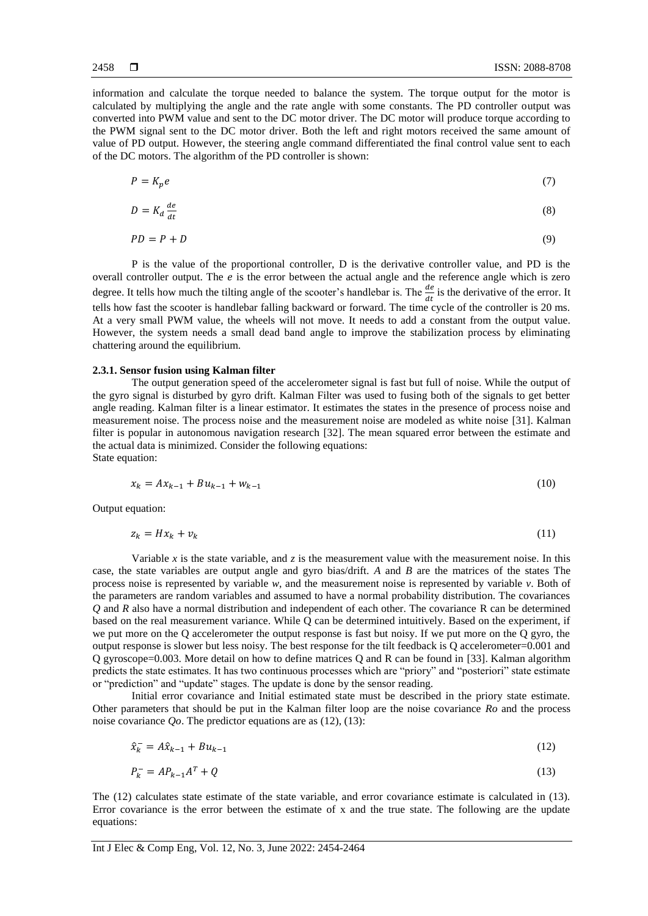information and calculate the torque needed to balance the system. The torque output for the motor is calculated by multiplying the angle and the rate angle with some constants. The PD controller output was converted into PWM value and sent to the DC motor driver. The DC motor will produce torque according to the PWM signal sent to the DC motor driver. Both the left and right motors received the same amount of value of PD output. However, the steering angle command differentiated the final control value sent to each of the DC motors. The algorithm of the PD controller is shown:

$$
P = K_p e \tag{7}
$$

$$
D = K_d \frac{de}{dt} \tag{8}
$$

$$
PD = P + D \tag{9}
$$

P is the value of the proportional controller, D is the derivative controller value, and PD is the overall controller output. The  $e$  is the error between the actual angle and the reference angle which is zero degree. It tells how much the tilting angle of the scooter's handlebar is. The  $\frac{de}{dt}$  is the derivative of the error. It tells how fast the scooter is handlebar falling backward or forward. The time cycle of the controller is 20 ms. At a very small PWM value, the wheels will not move. It needs to add a constant from the output value. However, the system needs a small dead band angle to improve the stabilization process by eliminating chattering around the equilibrium.

#### **2.3.1. Sensor fusion using Kalman filter**

The output generation speed of the accelerometer signal is fast but full of noise. While the output of the gyro signal is disturbed by gyro drift. Kalman Filter was used to fusing both of the signals to get better angle reading. Kalman filter is a linear estimator. It estimates the states in the presence of process noise and measurement noise. The process noise and the measurement noise are modeled as white noise [31]. Kalman filter is popular in autonomous navigation research [32]. The mean squared error between the estimate and the actual data is minimized. Consider the following equations: State equation:

$$
x_k = Ax_{k-1} + Bu_{k-1} + w_{k-1}
$$
 (10)

Output equation:

$$
z_k = Hx_k + v_k \tag{11}
$$

Variable x is the state variable, and  $\zeta$  is the measurement value with the measurement noise. In this case, the state variables are output angle and gyro bias/drift. *A* and *B* are the matrices of the states The process noise is represented by variable *w*, and the measurement noise is represented by variable *v*. Both of the parameters are random variables and assumed to have a normal probability distribution. The covariances *Q* and *R* also have a normal distribution and independent of each other. The covariance R can be determined based on the real measurement variance. While Q can be determined intuitively. Based on the experiment, if we put more on the Q accelerometer the output response is fast but noisy. If we put more on the Q gyro, the output response is slower but less noisy. The best response for the tilt feedback is Q accelerometer=0.001 and Q gyroscope=0.003. More detail on how to define matrices Q and R can be found in [33]. Kalman algorithm predicts the state estimates. It has two continuous processes which are "priory" and "posteriori" state estimate or "prediction" and "update" stages. The update is done by the sensor reading.

Initial error covariance and Initial estimated state must be described in the priory state estimate. Other parameters that should be put in the Kalman filter loop are the noise covariance *Ro* and the process noise covariance *Qo*. The predictor equations are as (12), (13):

$$
\hat{x}_k^- = A\hat{x}_{k-1} + Bu_{k-1} \tag{12}
$$

$$
P_k^- = AP_{k-1}A^T + Q \tag{13}
$$

The (12) calculates state estimate of the state variable, and error covariance estimate is calculated in (13). Error covariance is the error between the estimate of x and the true state. The following are the update equations: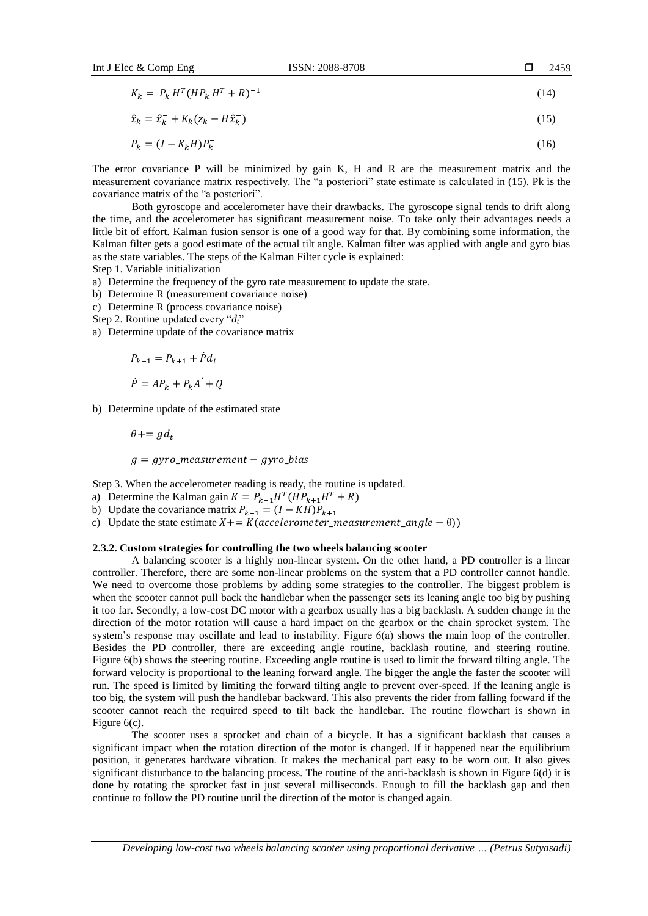$$
K_k = P_k^- H^T (H P_k^- H^T + R)^{-1}
$$
\n(14)

$$
\hat{x}_k = \hat{x}_k^- + K_k (z_k - H\hat{x}_k^-) \tag{15}
$$

$$
P_k = (I - K_k H) P_k^- \tag{16}
$$

The error covariance P will be minimized by gain K, H and R are the measurement matrix and the measurement covariance matrix respectively. The "a posteriori" state estimate is calculated in (15). Pk is the covariance matrix of the "a posteriori".

Both gyroscope and accelerometer have their drawbacks. The gyroscope signal tends to drift along the time, and the accelerometer has significant measurement noise. To take only their advantages needs a little bit of effort. Kalman fusion sensor is one of a good way for that. By combining some information, the Kalman filter gets a good estimate of the actual tilt angle. Kalman filter was applied with angle and gyro bias as the state variables. The steps of the Kalman Filter cycle is explained:

Step 1. Variable initialization

- a) Determine the frequency of the gyro rate measurement to update the state.
- b) Determine R (measurement covariance noise)
- c) Determine R (process covariance noise)
- Step 2. Routine updated every "*dt*"
- a) Determine update of the covariance matrix

$$
P_{k+1} = P_{k+1} + \dot{P}d_t
$$

$$
\dot{P} = AP_k + P_k A' + Q
$$

b) Determine update of the estimated state

$$
\theta += g d_t
$$

 $g = gyro_m e asurement - gyro_bias$ 

Step 3. When the accelerometer reading is ready, the routine is updated.

- a) Determine the Kalman gain  $K = P_{k+1}H^{T}(HP_{k+1}H^{T} + R)$
- b) Update the covariance matrix  $P_{k+1} = (I KH)P_{k+1}$
- c) Update the state estimate  $X+=K(acelement\_measurement\_angle \theta)$ )

#### **2.3.2. Custom strategies for controlling the two wheels balancing scooter**

A balancing scooter is a highly non-linear system. On the other hand, a PD controller is a linear controller. Therefore, there are some non-linear problems on the system that a PD controller cannot handle. We need to overcome those problems by adding some strategies to the controller. The biggest problem is when the scooter cannot pull back the handlebar when the passenger sets its leaning angle too big by pushing it too far. Secondly, a low-cost DC motor with a gearbox usually has a big backlash. A sudden change in the direction of the motor rotation will cause a hard impact on the gearbox or the chain sprocket system. The system's response may oscillate and lead to instability. Figure 6(a) shows the main loop of the controller. Besides the PD controller, there are exceeding angle routine, backlash routine, and steering routine. Figure 6(b) shows the steering routine. Exceeding angle routine is used to limit the forward tilting angle. The forward velocity is proportional to the leaning forward angle. The bigger the angle the faster the scooter will run. The speed is limited by limiting the forward tilting angle to prevent over-speed. If the leaning angle is too big, the system will push the handlebar backward. This also prevents the rider from falling forward if the scooter cannot reach the required speed to tilt back the handlebar. The routine flowchart is shown in Figure 6(c).

The scooter uses a sprocket and chain of a bicycle. It has a significant backlash that causes a significant impact when the rotation direction of the motor is changed. If it happened near the equilibrium position, it generates hardware vibration. It makes the mechanical part easy to be worn out. It also gives significant disturbance to the balancing process. The routine of the anti-backlash is shown in Figure 6(d) it is done by rotating the sprocket fast in just several milliseconds. Enough to fill the backlash gap and then continue to follow the PD routine until the direction of the motor is changed again.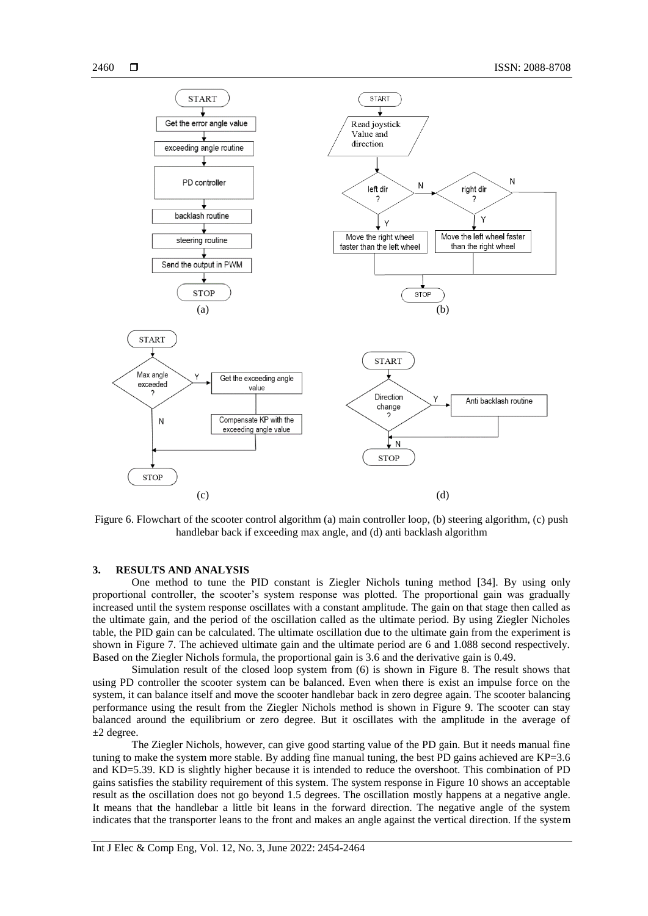

Figure 6. Flowchart of the scooter control algorithm (a) main controller loop, (b) steering algorithm, (c) push handlebar back if exceeding max angle, and (d) anti backlash algorithm

# **3. RESULTS AND ANALYSIS**

One method to tune the PID constant is Ziegler Nichols tuning method [34]. By using only proportional controller, the scooter's system response was plotted. The proportional gain was gradually increased until the system response oscillates with a constant amplitude. The gain on that stage then called as the ultimate gain, and the period of the oscillation called as the ultimate period. By using Ziegler Nicholes table, the PID gain can be calculated. The ultimate oscillation due to the ultimate gain from the experiment is shown in Figure 7. The achieved ultimate gain and the ultimate period are 6 and 1.088 second respectively. Based on the Ziegler Nichols formula, the proportional gain is 3.6 and the derivative gain is 0.49.

Simulation result of the closed loop system from (6) is shown in Figure 8. The result shows that using PD controller the scooter system can be balanced. Even when there is exist an impulse force on the system, it can balance itself and move the scooter handlebar back in zero degree again. The scooter balancing performance using the result from the Ziegler Nichols method is shown in Figure 9. The scooter can stay balanced around the equilibrium or zero degree. But it oscillates with the amplitude in the average of  $\pm 2$  degree.

The Ziegler Nichols, however, can give good starting value of the PD gain. But it needs manual fine tuning to make the system more stable. By adding fine manual tuning, the best PD gains achieved are  $KP=3.6$ and KD=5.39. KD is slightly higher because it is intended to reduce the overshoot. This combination of PD gains satisfies the stability requirement of this system. The system response in Figure 10 shows an acceptable result as the oscillation does not go beyond 1.5 degrees. The oscillation mostly happens at a negative angle. It means that the handlebar a little bit leans in the forward direction. The negative angle of the system indicates that the transporter leans to the front and makes an angle against the vertical direction. If the system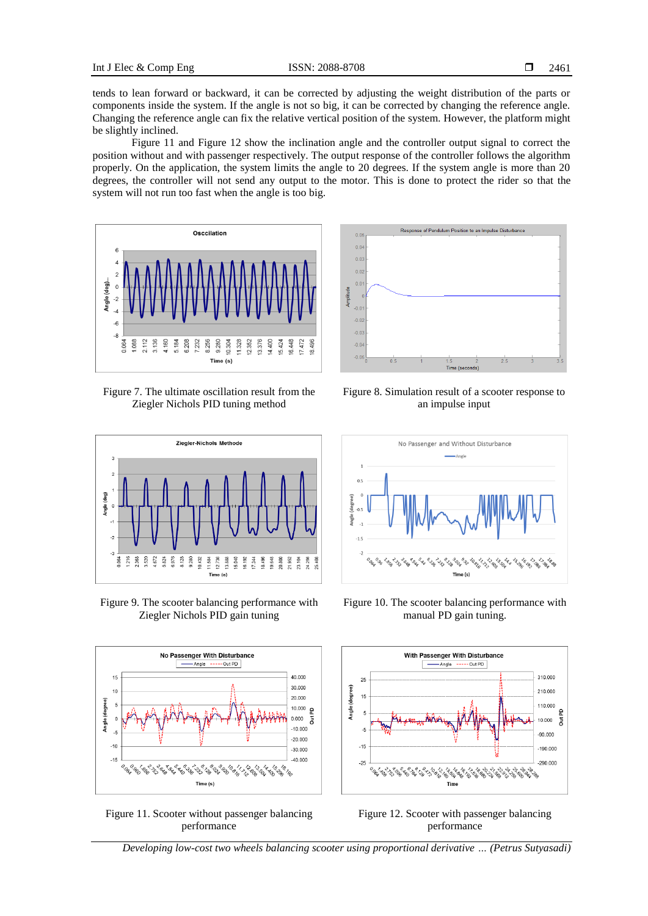tends to lean forward or backward, it can be corrected by adjusting the weight distribution of the parts or components inside the system. If the angle is not so big, it can be corrected by changing the reference angle. Changing the reference angle can fix the relative vertical position of the system. However, the platform might be slightly inclined.

Figure 11 and Figure 12 show the inclination angle and the controller output signal to correct the position without and with passenger respectively. The output response of the controller follows the algorithm properly. On the application, the system limits the angle to 20 degrees. If the system angle is more than 20 degrees, the controller will not send any output to the motor. This is done to protect the rider so that the system will not run too fast when the angle is too big.



Figure 7. The ultimate oscillation result from the Ziegler Nichols PID tuning method



Figure 9. The scooter balancing performance with Ziegler Nichols PID gain tuning



Figure 11. Scooter without passenger balancing performance



Figure 8. Simulation result of a scooter response to an impulse input



Figure 10. The scooter balancing performance with manual PD gain tuning.





*Developing low-cost two wheels balancing scooter using proportional derivative … (Petrus Sutyasadi)*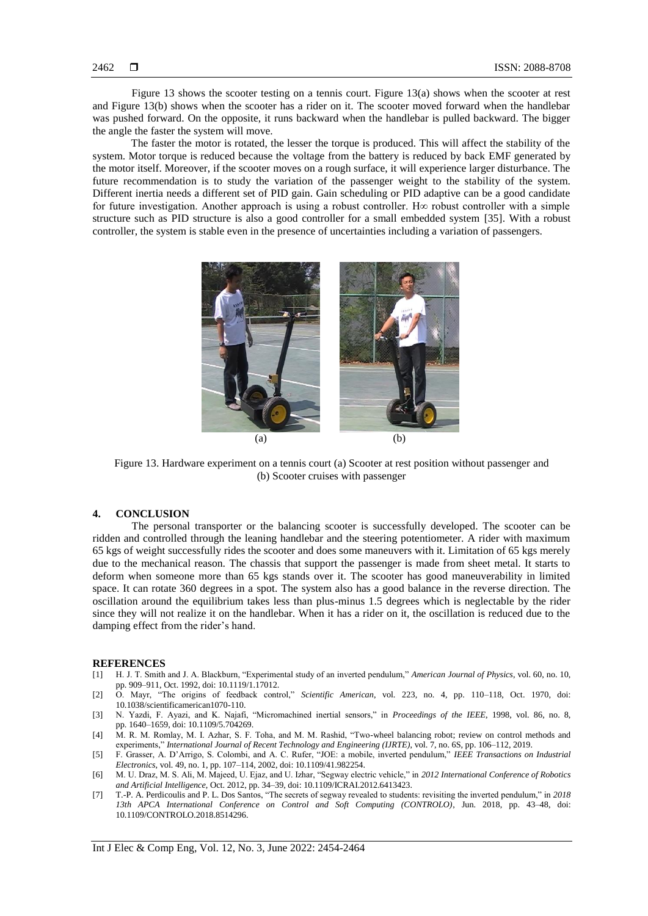Figure 13 shows the scooter testing on a tennis court. Figure 13(a) shows when the scooter at rest and Figure 13(b) shows when the scooter has a rider on it. The scooter moved forward when the handlebar was pushed forward. On the opposite, it runs backward when the handlebar is pulled backward. The bigger the angle the faster the system will move.

The faster the motor is rotated, the lesser the torque is produced. This will affect the stability of the system. Motor torque is reduced because the voltage from the battery is reduced by back EMF generated by the motor itself. Moreover, if the scooter moves on a rough surface, it will experience larger disturbance. The future recommendation is to study the variation of the passenger weight to the stability of the system. Different inertia needs a different set of PID gain. Gain scheduling or PID adaptive can be a good candidate for future investigation. Another approach is using a robust controller. H∞ robust controller with a simple structure such as PID structure is also a good controller for a small embedded system [35]. With a robust controller, the system is stable even in the presence of uncertainties including a variation of passengers.



Figure 13. Hardware experiment on a tennis court (a) Scooter at rest position without passenger and (b) Scooter cruises with passenger

## **4. CONCLUSION**

The personal transporter or the balancing scooter is successfully developed. The scooter can be ridden and controlled through the leaning handlebar and the steering potentiometer. A rider with maximum 65 kgs of weight successfully rides the scooter and does some maneuvers with it. Limitation of 65 kgs merely due to the mechanical reason. The chassis that support the passenger is made from sheet metal. It starts to deform when someone more than 65 kgs stands over it. The scooter has good maneuverability in limited space. It can rotate 360 degrees in a spot. The system also has a good balance in the reverse direction. The oscillation around the equilibrium takes less than plus-minus 1.5 degrees which is neglectable by the rider since they will not realize it on the handlebar. When it has a rider on it, the oscillation is reduced due to the damping effect from the rider's hand.

#### **REFERENCES**

- [1] H. J. T. Smith and J. A. Blackburn, "Experimental study of an inverted pendulum," *American Journal of Physics*, vol. 60, no. 10, pp. 909–911, Oct. 1992, doi: 10.1119/1.17012.
- [2] O. Mayr, "The origins of feedback control," *Scientific American*, vol. 223, no. 4, pp. 110–118, Oct. 1970, doi: 10.1038/scientificamerican1070-110.
- [3] N. Yazdi, F. Ayazi, and K. Najafi, "Micromachined inertial sensors," in *Proceedings of the IEEE*, 1998, vol. 86, no. 8, pp. 1640–1659, doi: 10.1109/5.704269.
- [4] M. R. M. Romlay, M. I. Azhar, S. F. Toha, and M. M. Rashid, "Two-wheel balancing robot; review on control methods and experiments," *International Journal of Recent Technology and Engineering (IJRTE)*, vol. 7, no. 6S, pp. 106–112, 2019.
- [5] F. Grasser, A. D'Arrigo, S. Colombi, and A. C. Rufer, "JOE: a mobile, inverted pendulum," *IEEE Transactions on Industrial Electronics*, vol. 49, no. 1, pp. 107–114, 2002, doi: 10.1109/41.982254.
- [6] M. U. Draz, M. S. Ali, M. Majeed, U. Ejaz, and U. Izhar, "Segway electric vehicle," in *2012 International Conference of Robotics and Artificial Intelligence*, Oct. 2012, pp. 34–39, doi: 10.1109/ICRAI.2012.6413423.
- [7] T.-P. A. Perdicoulis and P. L. Dos Santos, "The secrets of segway revealed to students: revisiting the inverted pendulum," in *2018 13th APCA International Conference on Control and Soft Computing (CONTROLO)*, Jun. 2018, pp. 43–48, doi: 10.1109/CONTROLO.2018.8514296.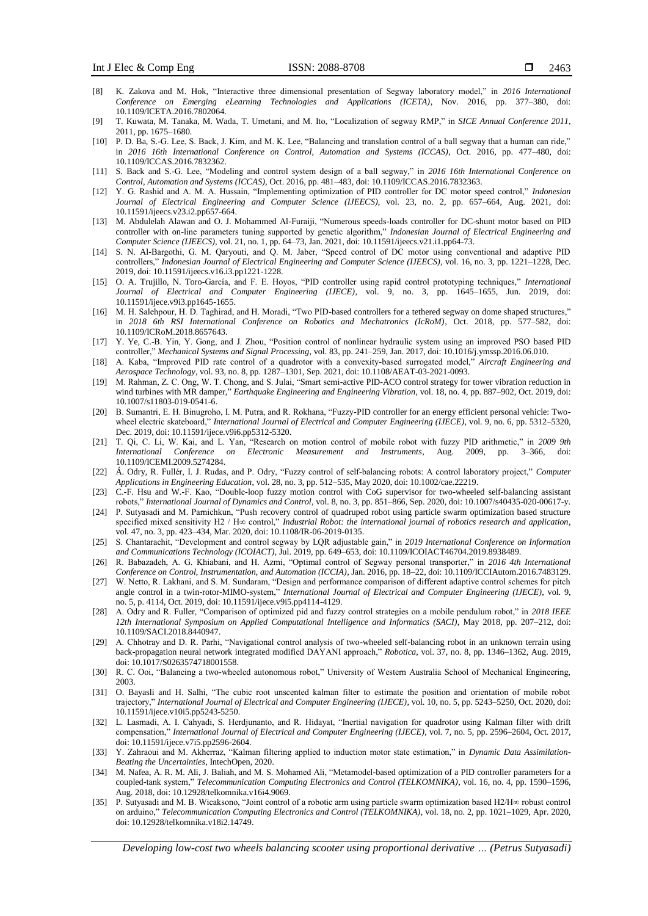- [8] K. Zakova and M. Hok, "Interactive three dimensional presentation of Segway laboratory model," in *2016 International Conference on Emerging eLearning Technologies and Applications (ICETA)*, Nov. 2016, pp. 377–380, doi: 10.1109/ICETA.2016.7802064.
- [9] T. Kuwata, M. Tanaka, M. Wada, T. Umetani, and M. Ito, "Localization of segway RMP," in *SICE Annual Conference 2011*, 2011, pp. 1675–1680.
- [10] P. D. Ba, S.-G. Lee, S. Back, J. Kim, and M. K. Lee, "Balancing and translation control of a ball segway that a human can ride," in *2016 16th International Conference on Control, Automation and Systems (ICCAS)*, Oct. 2016, pp. 477–480, doi: 10.1109/ICCAS.2016.7832362.
- [11] S. Back and S.-G. Lee, "Modeling and control system design of a ball segway," in *2016 16th International Conference on Control, Automation and Systems (ICCAS)*, Oct. 2016, pp. 481–483, doi: 10.1109/ICCAS.2016.7832363.
- [12] Y. G. Rashid and A. M. A. Hussain, "Implementing optimization of PID controller for DC motor speed control," *Indonesian Journal of Electrical Engineering and Computer Science (IJEECS)*, vol. 23, no. 2, pp. 657–664, Aug. 2021, doi: 10.11591/ijeecs.v23.i2.pp657-664.
- [13] M. Abdulelah Alawan and O. J. Mohammed Al-Furaiji, "Numerous speeds-loads controller for DC-shunt motor based on PID controller with on-line parameters tuning supported by genetic algorithm," *Indonesian Journal of Electrical Engineering and Computer Science (IJEECS)*, vol. 21, no. 1, pp. 64–73, Jan. 2021, doi: 10.11591/ijeecs.v21.i1.pp64-73.
- [14] S. N. Al-Bargothi, G. M. Qaryouti, and Q. M. Jaber, "Speed control of DC motor using conventional and adaptive PID controllers," *Indonesian Journal of Electrical Engineering and Computer Science (IJEECS)*, vol. 16, no. 3, pp. 1221–1228, Dec. 2019, doi: 10.11591/ijeecs.v16.i3.pp1221-1228.
- [15] O. A. Trujillo, N. Toro-García, and F. E. Hoyos, "PID controller using rapid control prototyping techniques," *International Journal of Electrical and Computer Engineering (IJECE)*, vol. 9, no. 3, pp. 1645–1655, Jun. 2019, doi: 10.11591/ijece.v9i3.pp1645-1655.
- [16] M. H. Salehpour, H. D. Taghirad, and H. Moradi, "Two PID-based controllers for a tethered segway on dome shaped structures," in *2018 6th RSI International Conference on Robotics and Mechatronics (IcRoM)*, Oct. 2018, pp. 577–582, doi: 10.1109/ICRoM.2018.8657643.
- [17] Y. Ye, C.-B. Yin, Y. Gong, and J. Zhou, "Position control of nonlinear hydraulic system using an improved PSO based PID controller," *Mechanical Systems and Signal Processing*, vol. 83, pp. 241–259, Jan. 2017, doi: 10.1016/j.ymssp.2016.06.010.
- [18] A. Kaba, "Improved PID rate control of a quadrotor with a convexity-based surrogated model," *Aircraft Engineering and Aerospace Technology*, vol. 93, no. 8, pp. 1287–1301, Sep. 2021, doi: 10.1108/AEAT-03-2021-0093.
- [19] M. Rahman, Z. C. Ong, W. T. Chong, and S. Julai, "Smart semi-active PID-ACO control strategy for tower vibration reduction in wind turbines with MR damper," *Earthquake Engineering and Engineering Vibration*, vol. 18, no. 4, pp. 887–902, Oct. 2019, doi: 10.1007/s11803-019-0541-6.
- [20] B. Sumantri, E. H. Binugroho, I. M. Putra, and R. Rokhana, "Fuzzy-PID controller for an energy efficient personal vehicle: Twowheel electric skateboard," *International Journal of Electrical and Computer Engineering (IJECE)*, vol. 9, no. 6, pp. 5312–5320, Dec. 2019, doi: 10.11591/ijece.v9i6.pp5312-5320.
- [21] T. Qi, C. Li, W. Kai, and L. Yan, "Research on motion control of mobile robot with fuzzy PID arithmetic," in *2009 9th International Conference on Electronic Measurement and Instruments*, Aug. 2009, pp. 3–366, doi: 10.1109/ICEMI.2009.5274284.
- [22] Á. Odry, R. Fullér, I. J. Rudas, and P. Odry, "Fuzzy control of self‐balancing robots: A control laboratory project," *Computer Applications in Engineering Education*, vol. 28, no. 3, pp. 512–535, May 2020, doi: 10.1002/cae.22219.
- [23] C.-F. Hsu and W.-F. Kao, "Double-loop fuzzy motion control with CoG supervisor for two-wheeled self-balancing assistant robots," *International Journal of Dynamics and Control*, vol. 8, no. 3, pp. 851–866, Sep. 2020, doi: 10.1007/s40435-020-00617-y.
- [24] P. Sutyasadi and M. Parnichkun, "Push recovery control of quadruped robot using particle swarm optimization based structure specified mixed sensitivity H2 / H∞ control," *Industrial Robot: the international journal of robotics research and application*, vol. 47, no. 3, pp. 423–434, Mar. 2020, doi: 10.1108/IR-06-2019-0135.
- [25] S. Chantarachit, "Development and control segway by LQR adjustable gain," in *2019 International Conference on Information and Communications Technology (ICOIACT)*, Jul. 2019, pp. 649–653, doi: 10.1109/ICOIACT46704.2019.8938489.
- [26] R. Babazadeh, A. G. Khiabani, and H. Azmi, "Optimal control of Segway personal transporter," in *2016 4th International Conference on Control, Instrumentation, and Automation (ICCIA)*, Jan. 2016, pp. 18–22, doi: 10.1109/ICCIAutom.2016.7483129.
- [27] W. Netto, R. Lakhani, and S. M. Sundaram, "Design and performance comparison of different adaptive control schemes for pitch angle control in a twin-rotor-MIMO-system," *International Journal of Electrical and Computer Engineering (IJECE)*, vol. 9, no. 5, p. 4114, Oct. 2019, doi: 10.11591/ijece.v9i5.pp4114-4129.
- [28] A. Odry and R. Fuller, "Comparison of optimized pid and fuzzy control strategies on a mobile pendulum robot," in *2018 IEEE 12th International Symposium on Applied Computational Intelligence and Informatics (SACI)*, May 2018, pp. 207–212, doi: 10.1109/SACI.2018.8440947.
- [29] A. Chhotray and D. R. Parhi, "Navigational control analysis of two-wheeled self-balancing robot in an unknown terrain using back-propagation neural network integrated modified DAYANI approach," *Robotica*, vol. 37, no. 8, pp. 1346–1362, Aug. 2019, doi: 10.1017/S0263574718001558.
- [30] R. C. Ooi, "Balancing a two-wheeled autonomous robot," University of Western Australia School of Mechanical Engineering, 2003.
- [31] O. Bayasli and H. Salhi, "The cubic root unscented kalman filter to estimate the position and orientation of mobile robot trajectory," *International Journal of Electrical and Computer Engineering (IJECE)*, vol. 10, no. 5, pp. 5243–5250, Oct. 2020, doi: 10.11591/ijece.v10i5.pp5243-5250.
- [32] L. Lasmadi, A. I. Cahyadi, S. Herdjunanto, and R. Hidayat, "Inertial navigation for quadrotor using Kalman filter with drift compensation," *International Journal of Electrical and Computer Engineering (IJECE)*, vol. 7, no. 5, pp. 2596–2604, Oct. 2017, doi: 10.11591/ijece.v7i5.pp2596-2604.
- [33] Y. Zahraoui and M. Akherraz, "Kalman filtering applied to induction motor state estimation," in *Dynamic Data Assimilation-Beating the Uncertainties*, IntechOpen, 2020.
- [34] M. Nafea, A. R. M. Ali, J. Baliah, and M. S. Mohamed Ali, "Metamodel-based optimization of a PID controller parameters for a coupled-tank system," *Telecommunication Computing Electronics and Control (TELKOMNIKA)*, vol. 16, no. 4, pp. 1590–1596, Aug. 2018, doi: 10.12928/telkomnika.v16i4.9069.
- [35] P. Sutyasadi and M. B. Wicaksono, "Joint control of a robotic arm using particle swarm optimization based H2/H∞ robust control on arduino," *Telecommunication Computing Electronics and Control (TELKOMNIKA)*, vol. 18, no. 2, pp. 1021–1029, Apr. 2020, doi: 10.12928/telkomnika.v18i2.14749.